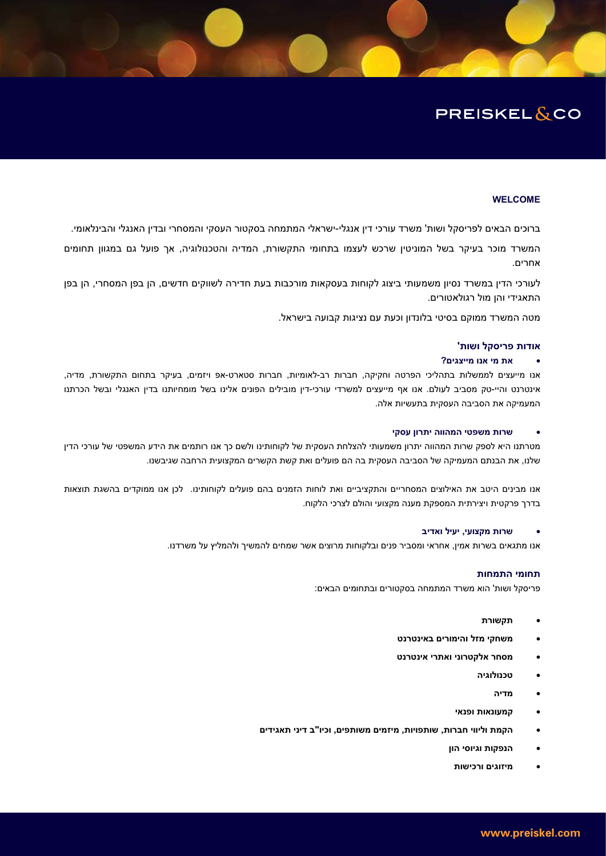# **PREISKEL&CO**

## **WELCOME**

ברוכים הבאים לפריסקל ושות' משרד עורכי דין אנגלי-ישראלי המתמחה בסקטור העסקי והמסחרי ובדין האנגלי והבינלאומי.

המשרד מוכר בעיקר בשל המוניטין שרכש לעצמו בתחומי התקשורת, המדיה והטכנולוגיה, אך פועל גם במגוון תחומים אחרים.

לעורכי הדין במשרד נסיון משמעותי ביצוג לקוחות בעסקאות מורכבות בעת חדירה לשווקים חדשים, הן בפן המסחרי, הן בפן התאגידי והן מול רגולאטורים.

מטה המשרד ממוקם בסיטי בלונדון וכעת עם נציגות קבועה בישראל.

## **'ʺʥʹʥ ʬʷʱʩʸʴ ʺʥʣʥʠ**

# **?ʭʩʢʶʩʩʮ ʥʰʠ ʩʮ ʺʠ** x

אנו מייעצים לממשלות בתהליכי הפרטה וחקיקה, חברות רב-לאומיות, חברות סטארט-אפ ויזמים, בעיקר בתחום התקשורת, מדיה, אינטרנט והיי-טק מסביב לעולם. אנו אף מייעצים למשרדי עורכי-דין מובילים הפונים אלינו בשל מומחיותנו בדין האנגלי ובשל הכרתנו המעמיקה את הסביבה העסקית בתעשיות אלה.

#### **ʩʷʱʲ ʯʥʸʺʩ ʤʥʥʤʮʤ ʩʨʴʹʮ ʺʥʸʹ** x

מטרתנו היא לספק שרות המהווה יתרון משמעותי להצלחת העסקית של לקוחותינו ולשם כך אנו רותמים את הידע המשפטי של עורכי הדין שלנו, את הבנתם המעמיקה של הסביבה העסקית בה הם פועלים ואת קשת הקשרים המקצועית הרחבה שגיבשנו.

אנו מבינים היטב את האילוצים המסחריים והתקציביים ואת לוחות הזמנים בהם פועלים לקוחותינו. לכן אנו ממוקדים בהשגת תוצאות בדרך פרקטית ויצירתית המספקת מענה מקצועי והולם לצרכי הלקוח.

#### **ʡʩʣʠʥ ʬʩʲʩ ,ʩʲʥʶʷʮ ʺʥʸʹ** x

אנו מתגאים בשרות אמין, אחראי ומסביר פנים ובלקוחות מרוצים אשר שמחים להמשיך ולהמליץ על משרדנו.

# תחומי התמחות

פריסקל ושות' הוא משרד המתמחה בסקטורים ובתחומים הבאים:

- **•** תקשורת
- **ʨʰʸʨʰʩʠʡ ʭʩʸʥʮʩʤʥ ʬʦʮ ʩʷʧʹʮ** x
- **ʨʰʸʨʰʩʠ ʩʸʺʠʥ ʩʰʥʸʨʷʬʠ ʸʧʱʮ** x
	- **ʤʩʢʥʬʥʰʫʨ** x
		- **ʤʩʣʮ** x
	- **ʩʠʰʴʥ ʺʥʠʰʥʲʮʷ** x
- **ʭʩʣʩʢʠʺ ʩʰʩʣ ʡ"ʥʩʫʥ ,ʭʩʴʺʥʹʮ ʭʩʮʦʩʮ ,ʺʥʩʥʴʺʥʹ ,ʺʥʸʡʧ ʩʥʥʩʬʥ ʺʮʷʤ** x
	- **ʯʥʤ ʩʱʥʩʢʥ ʺʥʷʴʰʤ** x
	- **ʺʥʹʩʫʸʥ ʭʩʢʥʦʩʮ** x